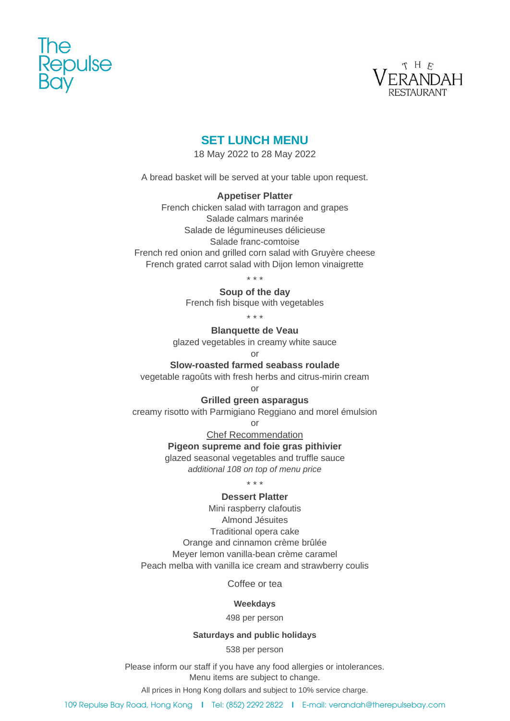



## **SET LUNCH MENU**

18 May 2022 to 28 May 2022

A bread basket will be served at your table upon request.

#### **Appetiser Platter**

French chicken salad with tarragon and grapes Salade calmars marinée Salade de légumineuses délicieuse Salade franc-comtoise French red onion and grilled corn salad with Gruyère cheese French grated carrot salad with Dijon lemon vinaigrette

\* \* \*

**Soup of the day**

French fish bisque with vegetables

\* \* \*

**Blanquette de Veau** 

glazed vegetables in creamy white sauce

or

#### **Slow-roasted farmed seabass roulade**

vegetable ragoûts with fresh herbs and citrus-mirin cream

or

#### **Grilled green asparagus**

creamy risotto with Parmigiano Reggiano and morel émulsion

or

Chef Recommendation

## **Pigeon supreme and foie gras pithivier**

glazed seasonal vegetables and truffle sauce

*additional 108 on top of menu price*

\* \* \*

### **Dessert Platter**

Mini raspberry clafoutis Almond Jésuites Traditional opera cake Orange and cinnamon crème brûlée Meyer lemon vanilla-bean crème caramel Peach melba with vanilla ice cream and strawberry coulis

Coffee or tea

#### **Weekdays**

498 per person

## **Saturdays and public holidays**

538 per person

Please inform our staff if you have any food allergies or intolerances. Menu items are subject to change.

All prices in Hong Kong dollars and subject to 10% service charge.